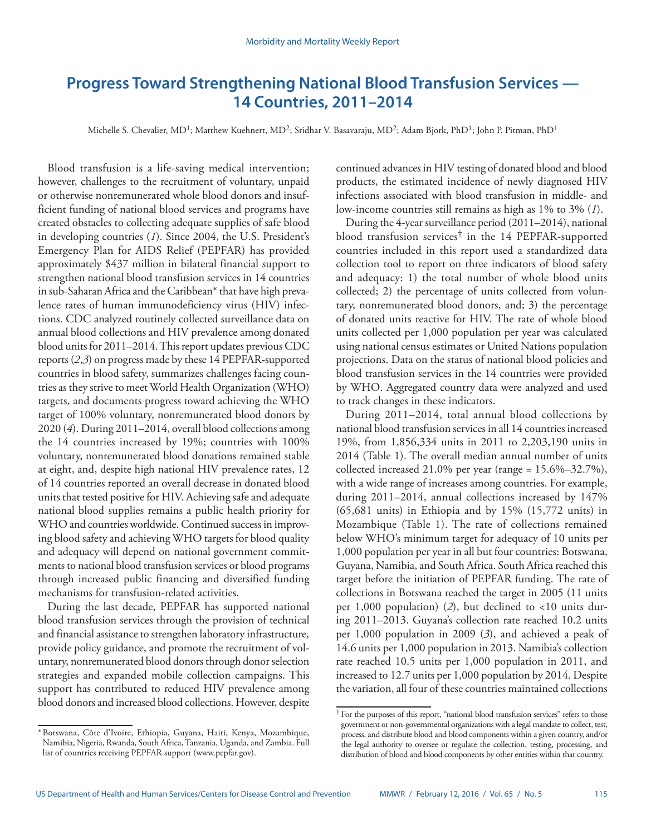# **Progress Toward Strengthening National Blood Transfusion Services — 14 Countries, 2011–2014**

Michelle S. Chevalier, MD<sup>1</sup>; Matthew Kuehnert, MD<sup>2</sup>; Sridhar V. Basavaraju, MD<sup>2</sup>; Adam Bjork, PhD<sup>1</sup>; John P. Pitman, PhD<sup>1</sup>

Blood transfusion is a life-saving medical intervention; however, challenges to the recruitment of voluntary, unpaid or otherwise nonremunerated whole blood donors and insufficient funding of national blood services and programs have created obstacles to collecting adequate supplies of safe blood in developing countries (*1*). Since 2004, the U.S. President's Emergency Plan for AIDS Relief (PEPFAR) has provided approximately \$437 million in bilateral financial support to strengthen national blood transfusion services in 14 countries in sub-Saharan Africa and the Caribbean\* that have high prevalence rates of human immunodeficiency virus (HIV) infections. CDC analyzed routinely collected surveillance data on annual blood collections and HIV prevalence among donated blood units for 2011–2014. This report updates previous CDC reports (*2*,*3*) on progress made by these 14 PEPFAR-supported countries in blood safety, summarizes challenges facing countries as they strive to meet World Health Organization (WHO) targets, and documents progress toward achieving the WHO target of 100% voluntary, nonremunerated blood donors by 2020 (*4*). During 2011–2014, overall blood collections among the 14 countries increased by 19%; countries with 100% voluntary, nonremunerated blood donations remained stable at eight, and, despite high national HIV prevalence rates, 12 of 14 countries reported an overall decrease in donated blood units that tested positive for HIV. Achieving safe and adequate national blood supplies remains a public health priority for WHO and countries worldwide. Continued success in improving blood safety and achieving WHO targets for blood quality and adequacy will depend on national government commitments to national blood transfusion services or blood programs through increased public financing and diversified funding mechanisms for transfusion-related activities.

During the last decade, PEPFAR has supported national blood transfusion services through the provision of technical and financial assistance to strengthen laboratory infrastructure, provide policy guidance, and promote the recruitment of voluntary, nonremunerated blood donors through donor selection strategies and expanded mobile collection campaigns. This support has contributed to reduced HIV prevalence among blood donors and increased blood collections. However, despite

continued advances in HIV testing of donated blood and blood products, the estimated incidence of newly diagnosed HIV infections associated with blood transfusion in middle- and low-income countries still remains as high as 1% to 3% (*1*).

During the 4-year surveillance period (2011–2014), national blood transfusion services† in the 14 PEPFAR-supported countries included in this report used a standardized data collection tool to report on three indicators of blood safety and adequacy: 1) the total number of whole blood units collected; 2) the percentage of units collected from voluntary, nonremunerated blood donors, and; 3) the percentage of donated units reactive for HIV. The rate of whole blood units collected per 1,000 population per year was calculated using national census estimates or United Nations population projections. Data on the status of national blood policies and blood transfusion services in the 14 countries were provided by WHO. Aggregated country data were analyzed and used to track changes in these indicators.

During 2011–2014, total annual blood collections by national blood transfusion services in all 14 countries increased 19%, from 1,856,334 units in 2011 to 2,203,190 units in 2014 (Table 1). The overall median annual number of units collected increased 21.0% per year (range = 15.6%–32.7%), with a wide range of increases among countries. For example, during 2011–2014, annual collections increased by 147% (65,681 units) in Ethiopia and by 15% (15,772 units) in Mozambique (Table 1). The rate of collections remained below WHO's minimum target for adequacy of 10 units per 1,000 population per year in all but four countries: Botswana, Guyana, Namibia, and South Africa. South Africa reached this target before the initiation of PEPFAR funding. The rate of collections in Botswana reached the target in 2005 (11 units per 1,000 population) (*2*), but declined to <10 units during 2011–2013. Guyana's collection rate reached 10.2 units per 1,000 population in 2009 (*3*), and achieved a peak of 14.6 units per 1,000 population in 2013. Namibia's collection rate reached 10.5 units per 1,000 population in 2011, and increased to 12.7 units per 1,000 population by 2014. Despite the variation, all four of these countries maintained collections

<sup>\*</sup>Botswana, Côte d'Ivoire, Ethiopia, Guyana, Haiti, Kenya, Mozambique, Namibia, Nigeria, Rwanda, South Africa, Tanzania, Uganda, and Zambia. Full list of countries receiving PEPFAR support (www.pepfar.gov).

<sup>†</sup> For the purposes of this report, "national blood transfusion services" refers to those government or non-governmental organizations with a legal mandate to collect, test, process, and distribute blood and blood components within a given country, and/or the legal authority to oversee or regulate the collection, testing, processing, and distribution of blood and blood components by other entities within that country.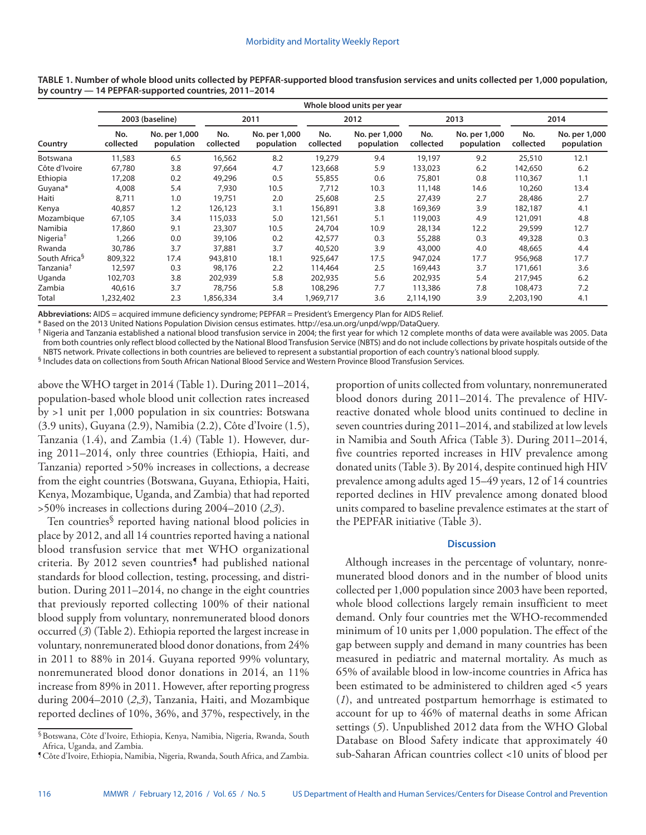|                           | Whole blood units per year |                             |                  |                             |                  |                             |                  |                             |                  |                             |  |  |  |  |
|---------------------------|----------------------------|-----------------------------|------------------|-----------------------------|------------------|-----------------------------|------------------|-----------------------------|------------------|-----------------------------|--|--|--|--|
| Country                   |                            | 2003 (baseline)             | 2011             |                             |                  | 2012                        |                  | 2013                        | 2014             |                             |  |  |  |  |
|                           | No.<br>collected           | No. per 1,000<br>population | No.<br>collected | No. per 1,000<br>population | No.<br>collected | No. per 1,000<br>population | No.<br>collected | No. per 1,000<br>population | No.<br>collected | No. per 1,000<br>population |  |  |  |  |
| Botswana                  | 11,583                     | 6.5                         | 16,562           | 8.2                         | 19,279           | 9.4                         | 19,197           | 9.2                         | 25,510           | 12.1                        |  |  |  |  |
| Côte d'Ivoire             | 67,780                     | 3.8                         | 97,664           | 4.7                         | 123,668          | 5.9                         | 133,023          | 6.2                         | 142,650          | 6.2                         |  |  |  |  |
| Ethiopia                  | 17,208                     | 0.2                         | 49,296           | 0.5                         | 55,855           | 0.6                         | 75,801           | 0.8                         | 110,367          | 1.1                         |  |  |  |  |
| Guyana*                   | 4,008                      | 5.4                         | 7,930            | 10.5                        | 7,712            | 10.3                        | 11,148           | 14.6                        | 10,260           | 13.4                        |  |  |  |  |
| Haiti                     | 8,711                      | 1.0                         | 19,751           | 2.0                         | 25,608           | 2.5                         | 27,439           | 2.7                         | 28,486           | 2.7                         |  |  |  |  |
| Kenya                     | 40,857                     | 1.2                         | 126,123          | 3.1                         | 156,891          | 3.8                         | 169,369          | 3.9                         | 182,187          | 4.1                         |  |  |  |  |
| Mozambique                | 67,105                     | 3.4                         | 115,033          | 5.0                         | 121,561          | 5.1                         | 119,003          | 4.9                         | 121,091          | 4.8                         |  |  |  |  |
| Namibia                   | 17,860                     | 9.1                         | 23,307           | 10.5                        | 24,704           | 10.9                        | 28,134           | 12.2                        | 29,599           | 12.7                        |  |  |  |  |
| Nigeria <sup>†</sup>      | 1,266                      | 0.0                         | 39,106           | 0.2                         | 42,577           | 0.3                         | 55,288           | 0.3                         | 49,328           | 0.3                         |  |  |  |  |
| Rwanda                    | 30,786                     | 3.7                         | 37,881           | 3.7                         | 40,520           | 3.9                         | 43,000           | 4.0                         | 48,665           | 4.4                         |  |  |  |  |
| South Africa <sup>§</sup> | 809,322                    | 17.4                        | 943,810          | 18.1                        | 925,647          | 17.5                        | 947,024          | 17.7                        | 956,968          | 17.7                        |  |  |  |  |
| Tanzania <sup>†</sup>     | 12,597                     | 0.3                         | 98,176           | 2.2                         | 114,464          | 2.5                         | 169,443          | 3.7                         | 171,661          | 3.6                         |  |  |  |  |
| Uganda                    | 102,703                    | 3.8                         | 202,939          | 5.8                         | 202,935          | 5.6                         | 202,935          | 5.4                         | 217,945          | 6.2                         |  |  |  |  |
| Zambia                    | 40,616                     | 3.7                         | 78,756           | 5.8                         | 108,296          | 7.7                         | 113,386          | 7.8                         | 108,473          | 7.2                         |  |  |  |  |
| Total                     | 1,232,402                  | 2.3                         | 1,856,334        | 3.4                         | 1,969,717        | 3.6                         | 2,114,190        | 3.9                         | 2,203,190        | 4.1                         |  |  |  |  |

**TABLE 1. Number of whole blood units collected by PEPFAR-supported blood transfusion services and units collected per 1,000 population, by country — 14 PEPFAR-supported countries, 2011–2014**

**Abbreviations:** AIDS = acquired immune deficiency syndrome; PEPFAR = President's Emergency Plan for AIDS Relief.

\* Based on the 2013 United Nations Population Division census estimates. [http://esa.un.org/unpd/wpp/DataQuery.](http://esa.un.org/unpd/wpp/DataQuery)<br><sup>†</sup> Nigeria and Tanzania established a national blood transfusion service in 2004; the first year for which 12 from both countries only reflect blood collected by the National Blood Transfusion Service (NBTS) and do not include collections by private hospitals outside of the NBTS network. Private collections in both countries are believed to represent a substantial proportion of each country's national blood supply.

§ Includes data on collections from South African National Blood Service and Western Province Blood Transfusion Services.

above the WHO target in 2014 (Table 1). During 2011–2014, population-based whole blood unit collection rates increased by >1 unit per 1,000 population in six countries: Botswana (3.9 units), Guyana (2.9), Namibia (2.2), Côte d'Ivoire (1.5), Tanzania (1.4), and Zambia (1.4) (Table 1). However, during 2011–2014, only three countries (Ethiopia, Haiti, and Tanzania) reported >50% increases in collections, a decrease from the eight countries (Botswana, Guyana, Ethiopia, Haiti, Kenya, Mozambique, Uganda, and Zambia) that had reported >50% increases in collections during 2004–2010 (*2*,*3*).

Ten countries§ reported having national blood policies in place by 2012, and all 14 countries reported having a national blood transfusion service that met WHO organizational criteria. By 2012 seven countries<sup>1</sup> had published national standards for blood collection, testing, processing, and distribution. During 2011–2014, no change in the eight countries that previously reported collecting 100% of their national blood supply from voluntary, nonremunerated blood donors occurred (*3*) (Table 2). Ethiopia reported the largest increase in voluntary, nonremunerated blood donor donations, from 24% in 2011 to 88% in 2014. Guyana reported 99% voluntary, nonremunerated blood donor donations in 2014, an 11% increase from 89% in 2011. However, after reporting progress during 2004–2010 (*2*,*3*), Tanzania, Haiti, and Mozambique reported declines of 10%, 36%, and 37%, respectively, in the proportion of units collected from voluntary, nonremunerated blood donors during 2011–2014. The prevalence of HIVreactive donated whole blood units continued to decline in seven countries during 2011–2014, and stabilized at low levels in Namibia and South Africa (Table 3). During 2011–2014, five countries reported increases in HIV prevalence among donated units (Table 3). By 2014, despite continued high HIV prevalence among adults aged 15–49 years, 12 of 14 countries reported declines in HIV prevalence among donated blood units compared to baseline prevalence estimates at the start of the PEPFAR initiative (Table 3).

# **Discussion**

Although increases in the percentage of voluntary, nonremunerated blood donors and in the number of blood units collected per 1,000 population since 2003 have been reported, whole blood collections largely remain insufficient to meet demand. Only four countries met the WHO-recommended minimum of 10 units per 1,000 population. The effect of the gap between supply and demand in many countries has been measured in pediatric and maternal mortality. As much as 65% of available blood in low-income countries in Africa has been estimated to be administered to children aged <5 years (*1*), and untreated postpartum hemorrhage is estimated to account for up to 46% of maternal deaths in some African settings (*5*). Unpublished 2012 data from the WHO Global Database on Blood Safety indicate that approximately 40 sub-Saharan African countries collect <10 units of blood per

<sup>§</sup>Botswana, Côte d'Ivoire, Ethiopia, Kenya, Namibia, Nigeria, Rwanda, South Africa, Uganda, and Zambia.

<sup>¶</sup>Côte d'Ivoire, Ethiopia, Namibia, Nigeria, Rwanda, South Africa, and Zambia.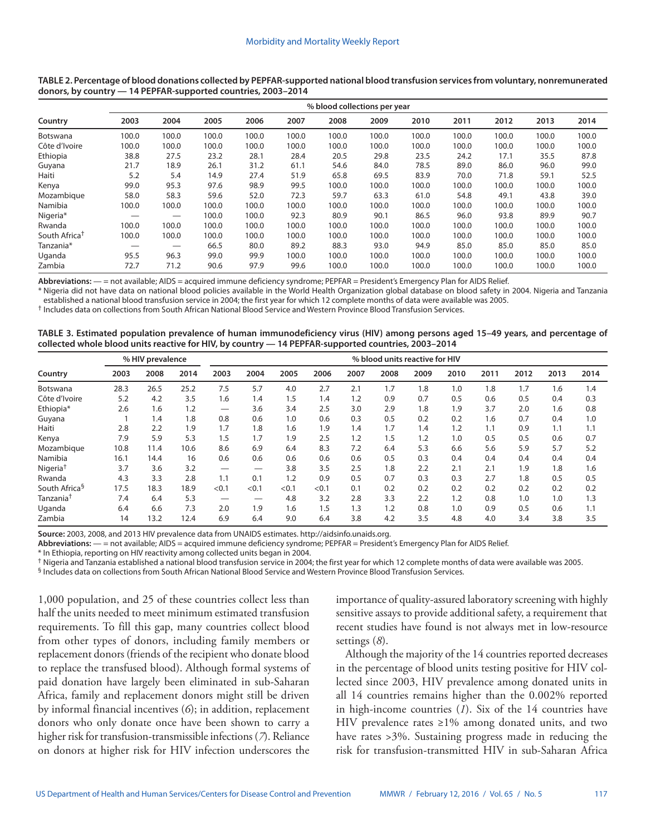|                           | % blood collections per year |       |       |       |       |       |       |       |       |       |       |       |  |  |
|---------------------------|------------------------------|-------|-------|-------|-------|-------|-------|-------|-------|-------|-------|-------|--|--|
| Country                   | 2003                         | 2004  | 2005  | 2006  | 2007  | 2008  | 2009  | 2010  | 2011  | 2012  | 2013  | 2014  |  |  |
| Botswana                  | 100.0                        | 100.0 | 100.0 | 100.0 | 100.0 | 100.0 | 100.0 | 100.0 | 100.0 | 100.0 | 100.0 | 100.0 |  |  |
| Côte d'Ivoire             | 100.0                        | 100.0 | 100.0 | 100.0 | 100.0 | 100.0 | 100.0 | 100.0 | 100.0 | 100.0 | 100.0 | 100.0 |  |  |
| Ethiopia                  | 38.8                         | 27.5  | 23.2  | 28.1  | 28.4  | 20.5  | 29.8  | 23.5  | 24.2  | 17.1  | 35.5  | 87.8  |  |  |
| Guyana                    | 21.7                         | 18.9  | 26.1  | 31.2  | 61.1  | 54.6  | 84.0  | 78.5  | 89.0  | 86.0  | 96.0  | 99.0  |  |  |
| Haiti                     | 5.2                          | 5.4   | 14.9  | 27.4  | 51.9  | 65.8  | 69.5  | 83.9  | 70.0  | 71.8  | 59.1  | 52.5  |  |  |
| Kenya                     | 99.0                         | 95.3  | 97.6  | 98.9  | 99.5  | 100.0 | 100.0 | 100.0 | 100.0 | 100.0 | 100.0 | 100.0 |  |  |
| Mozambique                | 58.0                         | 58.3  | 59.6  | 52.0  | 72.3  | 59.7  | 63.3  | 61.0  | 54.8  | 49.1  | 43.8  | 39.0  |  |  |
| Namibia                   | 100.0                        | 100.0 | 100.0 | 100.0 | 100.0 | 100.0 | 100.0 | 100.0 | 100.0 | 100.0 | 100.0 | 100.0 |  |  |
| Nigeria*                  |                              |       | 100.0 | 100.0 | 92.3  | 80.9  | 90.1  | 86.5  | 96.0  | 93.8  | 89.9  | 90.7  |  |  |
| Rwanda                    | 100.0                        | 100.0 | 100.0 | 100.0 | 100.0 | 100.0 | 100.0 | 100.0 | 100.0 | 100.0 | 100.0 | 100.0 |  |  |
| South Africa <sup>†</sup> | 100.0                        | 100.0 | 100.0 | 100.0 | 100.0 | 100.0 | 100.0 | 100.0 | 100.0 | 100.0 | 100.0 | 100.0 |  |  |
| Tanzania*                 |                              |       | 66.5  | 80.0  | 89.2  | 88.3  | 93.0  | 94.9  | 85.0  | 85.0  | 85.0  | 85.0  |  |  |
| Uganda                    | 95.5                         | 96.3  | 99.0  | 99.9  | 100.0 | 100.0 | 100.0 | 100.0 | 100.0 | 100.0 | 100.0 | 100.0 |  |  |
| Zambia                    | 72.7                         | 71.2  | 90.6  | 97.9  | 99.6  | 100.0 | 100.0 | 100.0 | 100.0 | 100.0 | 100.0 | 100.0 |  |  |

#### **TABLE 2. Percentage of blood donations collected by PEPFAR-supported national blood transfusion services from voluntary, nonremunerated donors, by country — 14 PEPFAR-supported countries, 2003–2014**

**Abbreviations:** — = not available; AIDS = acquired immune deficiency syndrome; PEPFAR = President's Emergency Plan for AIDS Relief.

\* Nigeria did not have data on national blood policies available in the World Health Organization global database on blood safety in 2004. Nigeria and Tanzania established a national blood transfusion service in 2004; the first year for which 12 complete months of data were available was 2005.

† Includes data on collections from South African National Blood Service and Western Province Blood Transfusion Services.

#### **TABLE 3. Estimated population prevalence of human immunodeficiency virus (HIV) among persons aged 15–49 years, and percentage of collected whole blood units reactive for HIV, by country — 14 PEPFAR-supported countries, 2003–2014**

|                           | % HIV prevalence |      |      | % blood units reactive for HIV |       |       |       |      |      |      |      |      |      |      |      |
|---------------------------|------------------|------|------|--------------------------------|-------|-------|-------|------|------|------|------|------|------|------|------|
| Country                   | 2003             | 2008 | 2014 | 2003                           | 2004  | 2005  | 2006  | 2007 | 2008 | 2009 | 2010 | 2011 | 2012 | 2013 | 2014 |
| Botswana                  | 28.3             | 26.5 | 25.2 | 7.5                            | 5.7   | 4.0   | 2.7   | 2.1  | 1.7  | 1.8  | 1.0  | 1.8  | 1.7  | 1.6  | 1.4  |
| Côte d'Ivoire             | 5.2              | 4.2  | 3.5  | 1.6                            | 1.4   | 1.5   | 1.4   | 1.2  | 0.9  | 0.7  | 0.5  | 0.6  | 0.5  | 0.4  | 0.3  |
| Ethiopia*                 | 2.6              | 1.6  | 1.2  |                                | 3.6   | 3.4   | 2.5   | 3.0  | 2.9  | 1.8  | 1.9  | 3.7  | 2.0  | 1.6  | 0.8  |
| Guyana                    |                  | 1.4  | 1.8  | 0.8                            | 0.6   | 1.0   | 0.6   | 0.3  | 0.5  | 0.2  | 0.2  | 1.6  | 0.7  | 0.4  | 1.0  |
| Haiti                     | 2.8              | 2.2  | 1.9  | 1.7                            | 1.8   | 1.6   | 1.9   | 1.4  | 1.7  | 1.4  | 1.2  | 1.1  | 0.9  | 1.1  | 1.1  |
| Kenya                     | 7.9              | 5.9  | 5.3  | 1.5                            | 1.7   | 1.9   | 2.5   | 1.2  | 1.5  | 1.2  | 1.0  | 0.5  | 0.5  | 0.6  | 0.7  |
| Mozambique                | 10.8             | 11.4 | 10.6 | 8.6                            | 6.9   | 6.4   | 8.3   | 7.2  | 6.4  | 5.3  | 6.6  | 5.6  | 5.9  | 5.7  | 5.2  |
| Namibia                   | 16.1             | 14.4 | 16   | 0.6                            | 0.6   | 0.6   | 0.6   | 0.6  | 0.5  | 0.3  | 0.4  | 0.4  | 0.4  | 0.4  | 0.4  |
| Nigeria <sup>†</sup>      | 3.7              | 3.6  | 3.2  |                                | —     | 3.8   | 3.5   | 2.5  | 1.8  | 2.2  | 2.1  | 2.1  | 1.9  | 1.8  | 1.6  |
| Rwanda                    | 4.3              | 3.3  | 2.8  | 1.1                            | 0.1   | 1.2   | 0.9   | 0.5  | 0.7  | 0.3  | 0.3  | 2.7  | 1.8  | 0.5  | 0.5  |
| South Africa <sup>§</sup> | 17.5             | 18.3 | 18.9 | < 0.1                          | < 0.1 | < 0.1 | < 0.1 | 0.1  | 0.2  | 0.2  | 0.2  | 0.2  | 0.2  | 0.2  | 0.2  |
| Tanzania <sup>†</sup>     | 7.4              | 6.4  | 5.3  | —                              | —     | 4.8   | 3.2   | 2.8  | 3.3  | 2.2  | 1.2  | 0.8  | 1.0  | 1.0  | 1.3  |
| Uganda                    | 6.4              | 6.6  | 7.3  | 2.0                            | 1.9   | 1.6   | 1.5   | 1.3  | 1.2  | 0.8  | 1.0  | 0.9  | 0.5  | 0.6  | 1.1  |
| Zambia                    | 14               | 13.2 | 12.4 | 6.9                            | 6.4   | 9.0   | 6.4   | 3.8  | 4.2  | 3.5  | 4.8  | 4.0  | 3.4  | 3.8  | 3.5  |

**Source:** 2003, 2008, and 2013 HIV prevalence data from UNAIDS estimates. [http://aidsinfo.unaids.org.](http://aidsinfo.unaids.org)

**Abbreviations:** — = not available; AIDS = acquired immune deficiency syndrome; PEPFAR = President's Emergency Plan for AIDS Relief.

\* In Ethiopia, reporting on HIV reactivity among collected units began in 2004.

† Nigeria and Tanzania established a national blood transfusion service in 2004; the first year for which 12 complete months of data were available was 2005.

§ Includes data on collections from South African National Blood Service and Western Province Blood Transfusion Services.

1,000 population, and 25 of these countries collect less than half the units needed to meet minimum estimated transfusion requirements. To fill this gap, many countries collect blood from other types of donors, including family members or replacement donors (friends of the recipient who donate blood to replace the transfused blood). Although formal systems of paid donation have largely been eliminated in sub-Saharan Africa, family and replacement donors might still be driven by informal financial incentives (*6*); in addition, replacement donors who only donate once have been shown to carry a higher risk for transfusion-transmissible infections (*7*). Reliance on donors at higher risk for HIV infection underscores the

importance of quality-assured laboratory screening with highly sensitive assays to provide additional safety, a requirement that recent studies have found is not always met in low-resource settings (*8*).

Although the majority of the 14 countries reported decreases in the percentage of blood units testing positive for HIV collected since 2003, HIV prevalence among donated units in all 14 countries remains higher than the 0.002% reported in high-income countries (*1*). Six of the 14 countries have HIV prevalence rates ≥1% among donated units, and two have rates >3%. Sustaining progress made in reducing the risk for transfusion-transmitted HIV in sub-Saharan Africa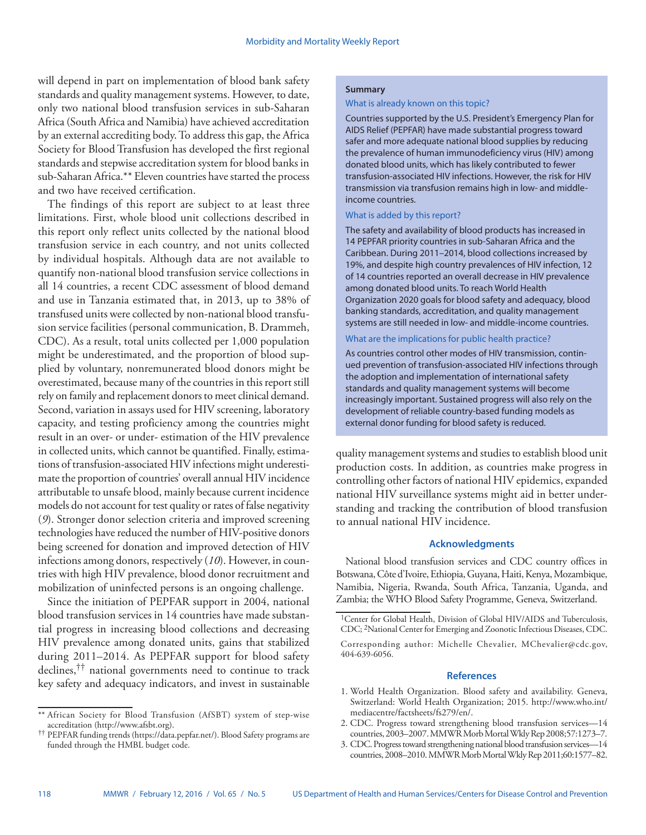will depend in part on implementation of blood bank safety standards and quality management systems. However, to date, only two national blood transfusion services in sub-Saharan Africa (South Africa and Namibia) have achieved accreditation by an external accrediting body. To address this gap, the Africa Society for Blood Transfusion has developed the first regional standards and stepwise accreditation system for blood banks in sub-Saharan Africa.\*\* Eleven countries have started the process and two have received certification.

The findings of this report are subject to at least three limitations. First, whole blood unit collections described in this report only reflect units collected by the national blood transfusion service in each country, and not units collected by individual hospitals. Although data are not available to quantify non-national blood transfusion service collections in all 14 countries, a recent CDC assessment of blood demand and use in Tanzania estimated that, in 2013, up to 38% of transfused units were collected by non-national blood transfusion service facilities (personal communication, B. Drammeh, CDC). As a result, total units collected per 1,000 population might be underestimated, and the proportion of blood supplied by voluntary, nonremunerated blood donors might be overestimated, because many of the countries in this report still rely on family and replacement donors to meet clinical demand. Second, variation in assays used for HIV screening, laboratory capacity, and testing proficiency among the countries might result in an over- or under- estimation of the HIV prevalence in collected units, which cannot be quantified. Finally, estimations of transfusion-associated HIV infections might underestimate the proportion of countries' overall annual HIV incidence attributable to unsafe blood, mainly because current incidence models do not account for test quality or rates of false negativity (*9*). Stronger donor selection criteria and improved screening technologies have reduced the number of HIV-positive donors being screened for donation and improved detection of HIV infections among donors, respectively (*10*). However, in countries with high HIV prevalence, blood donor recruitment and mobilization of uninfected persons is an ongoing challenge.

Since the initiation of PEPFAR support in 2004, national blood transfusion services in 14 countries have made substantial progress in increasing blood collections and decreasing HIV prevalence among donated units, gains that stabilized during 2011–2014. As PEPFAR support for blood safety declines,†† national governments need to continue to track key safety and adequacy indicators, and invest in sustainable

# **Summary**

#### What is already known on this topic?

Countries supported by the U.S. President's Emergency Plan for AIDS Relief (PEPFAR) have made substantial progress toward safer and more adequate national blood supplies by reducing the prevalence of human immunodeficiency virus (HIV) among donated blood units, which has likely contributed to fewer transfusion-associated HIV infections. However, the risk for HIV transmission via transfusion remains high in low- and middleincome countries.

### What is added by this report?

The safety and availability of blood products has increased in 14 PEPFAR priority countries in sub-Saharan Africa and the Caribbean. During 2011–2014, blood collections increased by 19%, and despite high country prevalences of HIV infection, 12 of 14 countries reported an overall decrease in HIV prevalence among donated blood units. To reach World Health Organization 2020 goals for blood safety and adequacy, blood banking standards, accreditation, and quality management systems are still needed in low- and middle-income countries.

#### What are the implications for public health practice?

As countries control other modes of HIV transmission, continued prevention of transfusion-associated HIV infections through the adoption and implementation of international safety standards and quality management systems will become increasingly important. Sustained progress will also rely on the development of reliable country-based funding models as external donor funding for blood safety is reduced.

quality management systems and studies to establish blood unit production costs. In addition, as countries make progress in controlling other factors of national HIV epidemics, expanded national HIV surveillance systems might aid in better understanding and tracking the contribution of blood transfusion to annual national HIV incidence.

#### **Acknowledgments**

National blood transfusion services and CDC country offices in Botswana, Côte d'Ivoire, Ethiopia, Guyana, Haiti, Kenya, Mozambique, Namibia, Nigeria, Rwanda, South Africa, Tanzania, Uganda, and Zambia; the WHO Blood Safety Programme, Geneva, Switzerland.

#### **References**

- 1. World Health Organization. Blood safety and availability. Geneva, Switzerland: World Health Organization; 2015. [http://www.who.int/](http://www.who.int/mediacentre/factsheets/fs279/en/) [mediacentre/factsheets/fs279/en/](http://www.who.int/mediacentre/factsheets/fs279/en/).
- 2. CDC. Progress toward strengthening blood transfusion services—14 countries, 2003–2007. MMWR Morb Mortal Wkly Rep 2008;57:1273–7.
- 3. CDC. Progress toward strengthening national blood transfusion services—14 countries, 2008–2010. MMWR Morb Mortal Wkly Rep 2011;60:1577–82.

<sup>\*\*</sup> African Society for Blood Transfusion (AfSBT) system of step-wise accreditation [\(http://www.afsbt.org](http://www.afsbt.org)).

<sup>††</sup> PEPFAR funding trends (<https://data.pepfar.net/>). Blood Safety programs are funded through the HMBL budget code.

<sup>&</sup>lt;sup>1</sup>Center for Global Health, Division of Global HIV/AIDS and Tuberculosis, CDC; 2National Center for Emerging and Zoonotic Infectious Diseases, CDC. Corresponding author: Michelle Chevalier, [MChevalier@cdc.gov,](mailto:MChevalier@cdc.gov) 404-639-6056.